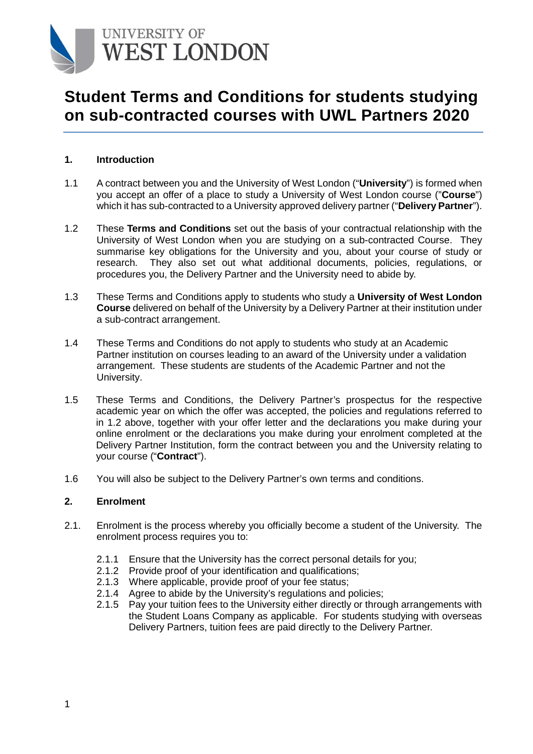

# **Student Terms and Conditions for students studying on sub-contracted courses with UWL Partners 2020**

#### **1. Introduction**

- 1.1 A contract between you and the University of West London ("**University**") is formed when you accept an offer of a place to study a University of West London course ("**Course**") which it has sub-contracted to a University approved delivery partner ("**Delivery Partner**").
- 1.2 These **Terms and Conditions** set out the basis of your contractual relationship with the University of West London when you are studying on a sub-contracted Course. They summarise key obligations for the University and you, about your course of study or research. They also set out what additional documents, policies, regulations, or procedures you, the Delivery Partner and the University need to abide by.
- 1.3 These Terms and Conditions apply to students who study a **University of West London Course** delivered on behalf of the University by a Delivery Partner at their institution under a sub-contract arrangement.
- 1.4 These Terms and Conditions do not apply to students who study at an Academic Partner institution on courses leading to an award of the University under a validation arrangement. These students are students of the Academic Partner and not the University.
- 1.5 These Terms and Conditions, the Delivery Partner's prospectus for the respective academic year on which the offer was accepted, the policies and regulations referred to in 1.2 above, together with your offer letter and the declarations you make during your online enrolment or the declarations you make during your enrolment completed at the Delivery Partner Institution, form the contract between you and the University relating to your course ("**Contract**").
- 1.6 You will also be subject to the Delivery Partner's own terms and conditions.

#### **2. Enrolment**

- 2.1. Enrolment is the process whereby you officially become a student of the University. The enrolment process requires you to:
	- 2.1.1 Ensure that the University has the correct personal details for you;
	- 2.1.2 Provide proof of your identification and qualifications;
	- 2.1.3 Where applicable, provide proof of your fee status;
	- 2.1.4 Agree to abide by the University's regulations and policies;
	- 2.1.5 Pay your tuition fees to the University either directly or through arrangements with the Student Loans Company as applicable. For students studying with overseas Delivery Partners, tuition fees are paid directly to the Delivery Partner.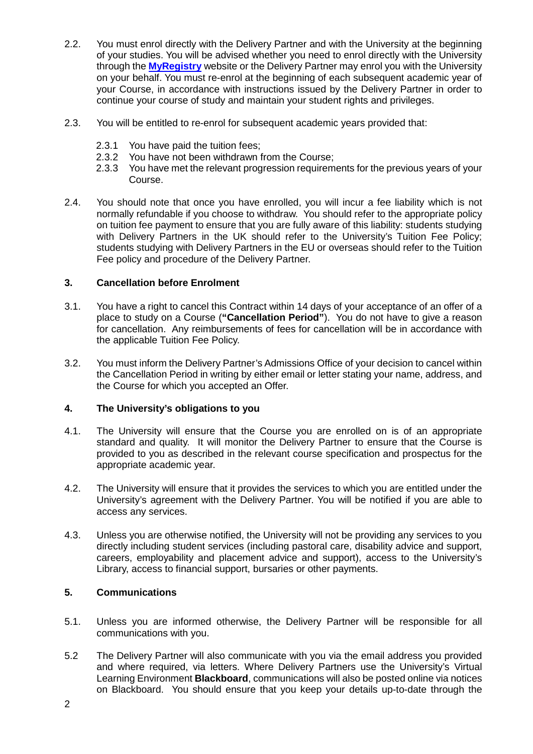- 2.2. You must enrol directly with the Delivery Partner and with the University at the beginning of your studies. You will be advised whether you need to enrol directly with the University through the **[MyRegistry](https://onlineregistry.uwl.ac.uk/MyRegistry/common/login.aspx?page=enrol)** website or the Delivery Partner may enrol you with the University on your behalf. You must re-enrol at the beginning of each subsequent academic year of your Course, in accordance with instructions issued by the Delivery Partner in order to continue your course of study and maintain your student rights and privileges.
- 2.3. You will be entitled to re-enrol for subsequent academic years provided that:
	- 2.3.1 You have paid the tuition fees;
	- 2.3.2 You have not been withdrawn from the Course;
	- 2.3.3 You have met the relevant progression requirements for the previous years of your Course.
- 2.4. You should note that once you have enrolled, you will incur a fee liability which is not normally refundable if you choose to withdraw. You should refer to the appropriate policy on tuition fee payment to ensure that you are fully aware of this liability: students studying with Delivery Partners in the UK should refer to the University's Tuition Fee Policy; students studying with Delivery Partners in the EU or overseas should refer to the Tuition Fee policy and procedure of the Delivery Partner.

# **3. Cancellation before Enrolment**

- 3.1. You have a right to cancel this Contract within 14 days of your acceptance of an offer of a place to study on a Course (**"Cancellation Period"**). You do not have to give a reason for cancellation. Any reimbursements of fees for cancellation will be in accordance with the applicable Tuition Fee Policy.
- 3.2. You must inform the Delivery Partner's Admissions Office of your decision to cancel within the Cancellation Period in writing by either email or letter stating your name, address, and the Course for which you accepted an Offer.

# **4. The University's obligations to you**

- 4.1. The University will ensure that the Course you are enrolled on is of an appropriate standard and quality. It will monitor the Delivery Partner to ensure that the Course is provided to you as described in the relevant course specification and prospectus for the appropriate academic year.
- 4.2. The University will ensure that it provides the services to which you are entitled under the University's agreement with the Delivery Partner. You will be notified if you are able to access any services.
- 4.3. Unless you are otherwise notified, the University will not be providing any services to you directly including student services (including pastoral care, disability advice and support, careers, employability and placement advice and support), access to the University's Library, access to financial support, bursaries or other payments.

### **5. Communications**

- 5.1. Unless you are informed otherwise, the Delivery Partner will be responsible for all communications with you.
- 5.2 The Delivery Partner will also communicate with you via the email address you provided and where required, via letters. Where Delivery Partners use the University's Virtual Learning Environment **Blackboard**, communications will also be posted online via notices on Blackboard. You should ensure that you keep your details up-to-date through the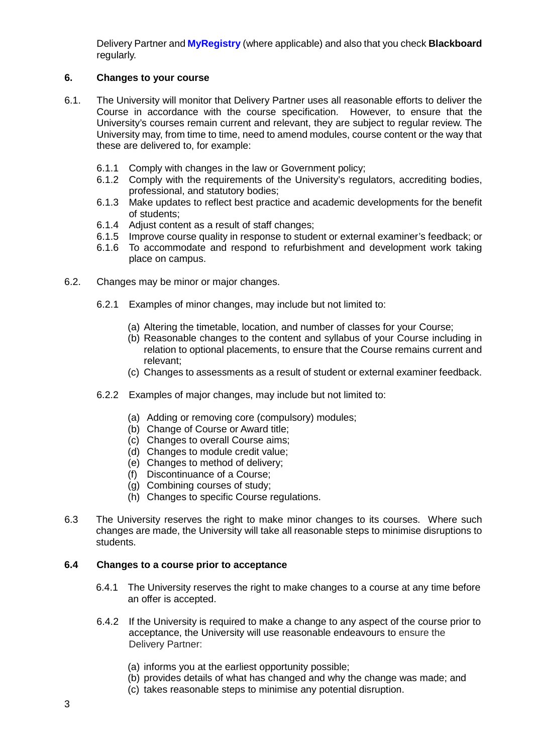Delivery Partner and **MyRegistry** (where applicable) and also that you check **Blackboard** regularly.

# **6. Changes to your course**

- 6.1. The University will monitor that Delivery Partner uses all reasonable efforts to deliver the Course in accordance with the course specification. However, to ensure that the University's courses remain current and relevant, they are subject to regular review. The University may, from time to time, need to amend modules, course content or the way that these are delivered to, for example:
	- 6.1.1 Comply with changes in the law or Government policy;
	- 6.1.2 Comply with the requirements of the University's regulators, accrediting bodies, professional, and statutory bodies;
	- 6.1.3 Make updates to reflect best practice and academic developments for the benefit of students;
	- 6.1.4 Adjust content as a result of staff changes;
	- 6.1.5 Improve course quality in response to student or external examiner's feedback; or
	- 6.1.6 To accommodate and respond to refurbishment and development work taking place on campus.
- 6.2. Changes may be minor or major changes.
	- 6.2.1 Examples of minor changes, may include but not limited to:
		- (a) Altering the timetable, location, and number of classes for your Course;
		- (b) Reasonable changes to the content and syllabus of your Course including in relation to optional placements, to ensure that the Course remains current and relevant;
		- (c) Changes to assessments as a result of student or external examiner feedback.
	- 6.2.2 Examples of major changes, may include but not limited to:
		- (a) Adding or removing core (compulsory) modules;
		- (b) Change of Course or Award title;
		- (c) Changes to overall Course aims;
		- (d) Changes to module credit value;
		- (e) Changes to method of delivery;
		- (f) Discontinuance of a Course;
		- (g) Combining courses of study;
		- (h) Changes to specific Course regulations.
- 6.3 The University reserves the right to make minor changes to its courses. Where such changes are made, the University will take all reasonable steps to minimise disruptions to students.

# **6.4 Changes to a course prior to acceptance**

- 6.4.1 The University reserves the right to make changes to a course at any time before an offer is accepted.
- 6.4.2 If the University is required to make a change to any aspect of the course prior to acceptance, the University will use reasonable endeavours to ensure the Delivery Partner:
	- (a) informs you at the earliest opportunity possible;
	- (b) provides details of what has changed and why the change was made; and
	- (c) takes reasonable steps to minimise any potential disruption.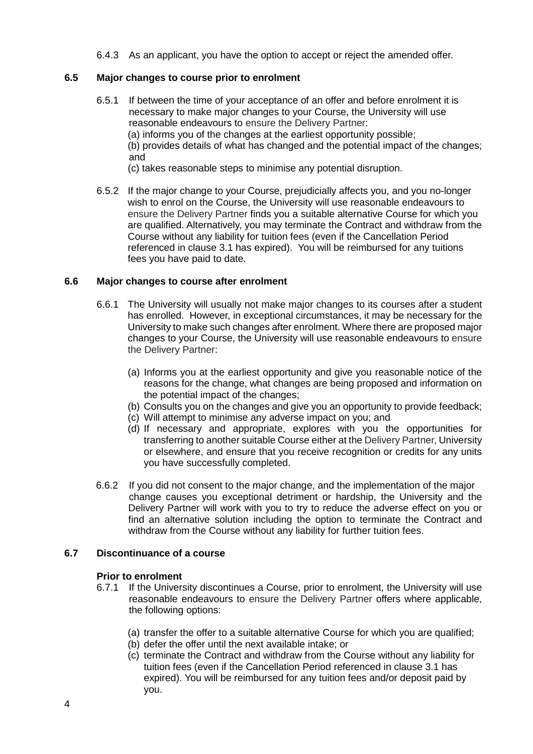6.4.3 As an applicant, you have the option to accept or reject the amended offer.

#### **6.5 Major changes to course prior to enrolment**

6.5.1 If between the time of your acceptance of an offer and before enrolment it is necessary to make major changes to your Course, the University will use reasonable endeavours to ensure the Delivery Partner: (a) informs you of the changes at the earliest opportunity possible; (b) provides details of what has changed and the potential impact of the changes; and

(c) takes reasonable steps to minimise any potential disruption.

6.5.2 If the major change to your Course, prejudicially affects you, and you no-longer wish to enrol on the Course, the University will use reasonable endeavours to ensure the Delivery Partner finds you a suitable alternative Course for which you are qualified. Alternatively, you may terminate the Contract and withdraw from the Course without any liability for tuition fees (even if the Cancellation Period referenced in clause 3.1 has expired). You will be reimbursed for any tuitions fees you have paid to date.

#### **6.6 Major changes to course after enrolment**

- 6.6.1 The University will usually not make major changes to its courses after a student has enrolled. However, in exceptional circumstances, it may be necessary for the University to make such changes after enrolment. Where there are proposed major changes to your Course, the University will use reasonable endeavours to ensure the Delivery Partner:
	- (a) Informs you at the earliest opportunity and give you reasonable notice of the reasons for the change, what changes are being proposed and information on the potential impact of the changes;
	- (b) Consults you on the changes and give you an opportunity to provide feedback;
	- (c) Will attempt to minimise any adverse impact on you; and
	- (d) If necessary and appropriate, explores with you the opportunities for transferring to another suitable Course either at the Delivery Partner, University or elsewhere, and ensure that you receive recognition or credits for any units you have successfully completed.
- 6.6.2 If you did not consent to the major change, and the implementation of the major change causes you exceptional detriment or hardship, the University and the Delivery Partner will work with you to try to reduce the adverse effect on you or find an alternative solution including the option to terminate the Contract and withdraw from the Course without any liability for further tuition fees.

# **6.7 Discontinuance of a course**

# **Prior to enrolment**<br>6.7.1 If the Univers

- If the University discontinues a Course, prior to enrolment, the University will use reasonable endeavours to ensure the Delivery Partner offers where applicable, the following options:
	- (a) transfer the offer to a suitable alternative Course for which you are qualified;
	- (b) defer the offer until the next available intake; or
	- (c) terminate the Contract and withdraw from the Course without any liability for tuition fees (even if the Cancellation Period referenced in clause 3.1 has expired). You will be reimbursed for any tuition fees and/or deposit paid by you.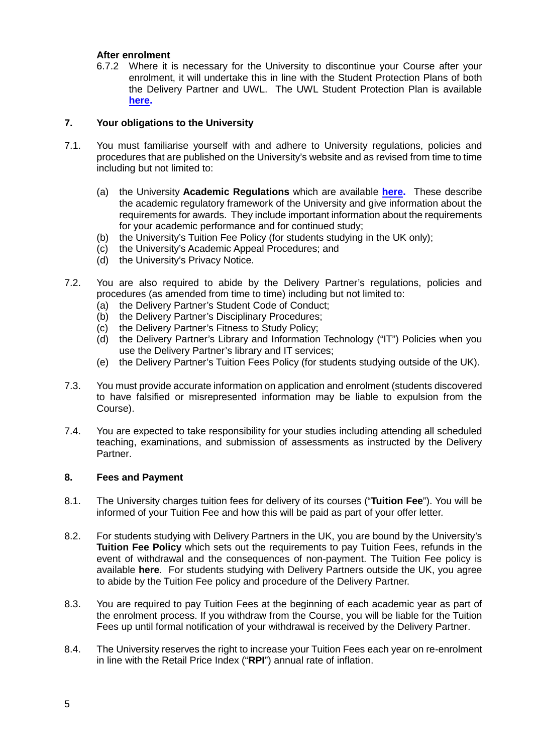#### **After enrolment**

6.7.2 Where it is necessary for the University to discontinue your Course after your enrolment, it will undertake this in line with the Student Protection Plans of both the Delivery Partner and UWL. The UWL Student Protection Plan is available **[here.](http://www.uwl.ac.uk/students/current-students/policies-procedures-and-regulations)**

# **7. Your obligations to the University**

- 7.1. You must familiarise yourself with and adhere to University regulations, policies and procedures that are published on the University's website and as revised from time to time including but not limited to:
	- (a) the University **Academic Regulations** which are available **[here.](http://www.uwl.ac.uk/students/current-students/policies-procedures-and-regulations)** These describe the academic regulatory framework of the University and give information about the requirements for awards. They include important information about the requirements for your academic performance and for continued study;
	- (b) the University's Tuition Fee Policy (for students studying in the UK only);
	- (c) the University's Academic Appeal Procedures; and
	- (d) the University's Privacy Notice.
- 7.2. You are also required to abide by the Delivery Partner's regulations, policies and procedures (as amended from time to time) including but not limited to:
	- (a) the Delivery Partner's Student Code of Conduct;
	- (b) the Delivery Partner's Disciplinary Procedures;
	- (c) the Delivery Partner's Fitness to Study Policy;
	- (d) the Delivery Partner's Library and Information Technology ("IT") Policies when you use the Delivery Partner's library and IT services;
	- (e) the Delivery Partner's Tuition Fees Policy (for students studying outside of the UK).
- 7.3. You must provide accurate information on application and enrolment (students discovered to have falsified or misrepresented information may be liable to expulsion from the Course).
- 7.4. You are expected to take responsibility for your studies including attending all scheduled teaching, examinations, and submission of assessments as instructed by the Delivery Partner.

#### **8. Fees and Payment**

- 8.1. The University charges tuition fees for delivery of its courses ("**Tuition Fee**"). You will be informed of your Tuition Fee and how this will be paid as part of your offer letter.
- 8.2. For students studying with Delivery Partners in the UK, you are bound by the University's **Tuition Fee Policy** which sets out the requirements to pay Tuition Fees, refunds in the event of withdrawal and the consequences of non-payment. The Tuition Fee policy is available **[here](http://www.uwl.ac.uk/students/current-students/policies-procedures-and-regulations)**. For students studying with Delivery Partners outside the UK, you agree to abide by the Tuition Fee policy and procedure of the Delivery Partner.
- 8.3. You are required to pay Tuition Fees at the beginning of each academic year as part of the enrolment process. If you withdraw from the Course, you will be liable for the Tuition Fees up until formal notification of your withdrawal is received by the Delivery Partner.
- 8.4. The University reserves the right to increase your Tuition Fees each year on re-enrolment in line with the Retail Price Index ("**RPI**") annual rate of inflation.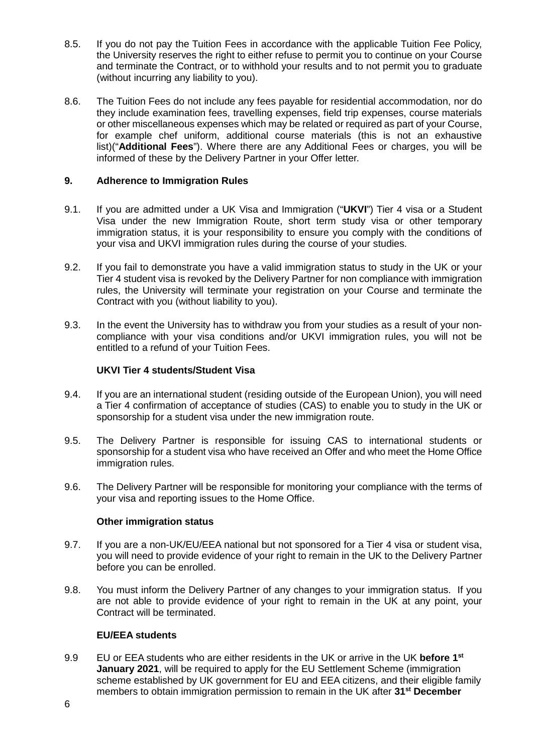- 8.5. If you do not pay the Tuition Fees in accordance with the applicable Tuition Fee Policy, the University reserves the right to either refuse to permit you to continue on your Course and terminate the Contract, or to withhold your results and to not permit you to graduate (without incurring any liability to you).
- 8.6. The Tuition Fees do not include any fees payable for residential accommodation, nor do they include examination fees, travelling expenses, field trip expenses, course materials or other miscellaneous expenses which may be related or required as part of your Course, for example chef uniform, additional course materials (this is not an exhaustive list)("**Additional Fees**"). Where there are any Additional Fees or charges, you will be informed of these by the Delivery Partner in your Offer letter.

# **9. Adherence to Immigration Rules**

- 9.1. If you are admitted under a UK Visa and Immigration ("**UKVI**") Tier 4 visa or a Student Visa under the new Immigration Route, short term study visa or other temporary immigration status, it is your responsibility to ensure you comply with the conditions of your visa and UKVI immigration rules during the course of your studies.
- 9.2. If you fail to demonstrate you have a valid immigration status to study in the UK or your Tier 4 student visa is revoked by the Delivery Partner for non compliance with immigration rules, the University will terminate your registration on your Course and terminate the Contract with you (without liability to you).
- 9.3. In the event the University has to withdraw you from your studies as a result of your noncompliance with your visa conditions and/or UKVI immigration rules, you will not be entitled to a refund of your Tuition Fees.

#### **UKVI Tier 4 students/Student Visa**

- 9.4. If you are an international student (residing outside of the European Union), you will need a Tier 4 confirmation of acceptance of studies (CAS) to enable you to study in the UK or sponsorship for a student visa under the new immigration route.
- 9.5. The Delivery Partner is responsible for issuing CAS to international students or sponsorship for a student visa who have received an Offer and who meet the Home Office immigration rules.
- 9.6. The Delivery Partner will be responsible for monitoring your compliance with the terms of your visa and reporting issues to the Home Office.

#### **Other immigration status**

- 9.7. If you are a non-UK/EU/EEA national but not sponsored for a Tier 4 visa or student visa, you will need to provide evidence of your right to remain in the UK to the Delivery Partner before you can be enrolled.
- 9.8. You must inform the Delivery Partner of any changes to your immigration status. If you are not able to provide evidence of your right to remain in the UK at any point, your Contract will be terminated.

# **EU/EEA students**

9.9 EU or EEA students who are either residents in the UK or arrive in the UK **before 1st January 2021**, will be required to apply for the EU Settlement Scheme (immigration scheme established by UK government for EU and EEA citizens, and their eligible family members to obtain immigration permission to remain in the UK after **31st December**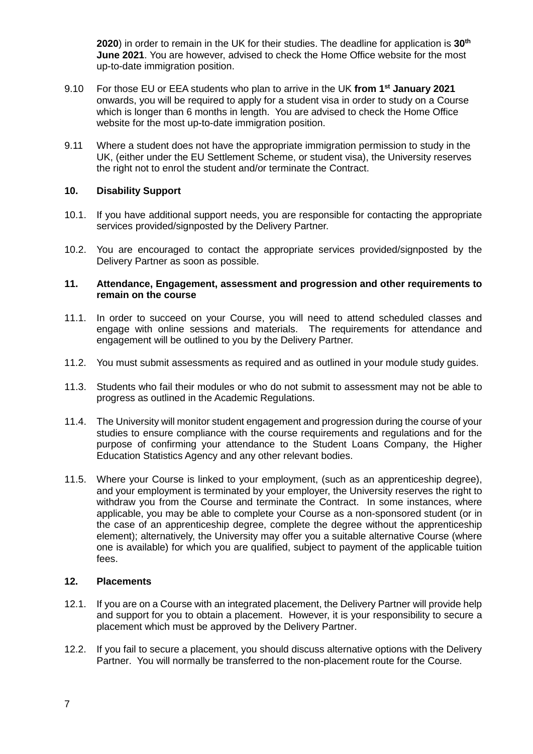**2020**) in order to remain in the UK for their studies. The deadline for application is **30th June 2021**. You are however, advised to check the Home Office website for the most up-to-date immigration position.

- 9.10 For those EU or EEA students who plan to arrive in the UK **from 1st January 2021** onwards, you will be required to apply for a student visa in order to study on a Course which is longer than 6 months in length. You are advised to check the Home Office website for the most up-to-date immigration position.
- 9.11 Where a student does not have the appropriate immigration permission to study in the UK, (either under the EU Settlement Scheme, or student visa), the University reserves the right not to enrol the student and/or terminate the Contract.

# **10. Disability Support**

- 10.1. If you have additional support needs, you are responsible for contacting the appropriate services provided/signposted by the Delivery Partner.
- 10.2. You are encouraged to contact the appropriate services provided/signposted by the Delivery Partner as soon as possible.

#### **11. Attendance, Engagement, assessment and progression and other requirements to remain on the course**

- 11.1. In order to succeed on your Course, you will need to attend scheduled classes and engage with online sessions and materials. The requirements for attendance and engagement will be outlined to you by the Delivery Partner.
- 11.2. You must submit assessments as required and as outlined in your module study guides.
- 11.3. Students who fail their modules or who do not submit to assessment may not be able to progress as outlined in the [Academic Regulations.](http://www.uwl.ac.uk/students/current-students)
- 11.4. The University will monitor student engagement and progression during the course of your studies to ensure compliance with the course requirements and regulations and for the purpose of confirming your attendance to the Student Loans Company, the Higher Education Statistics Agency and any other relevant bodies.
- 11.5. Where your Course is linked to your employment, (such as an apprenticeship degree), and your employment is terminated by your employer, the University reserves the right to withdraw you from the Course and terminate the Contract. In some instances, where applicable, you may be able to complete your Course as a non-sponsored student (or in the case of an apprenticeship degree, complete the degree without the apprenticeship element); alternatively, the University may offer you a suitable alternative Course (where one is available) for which you are qualified, subject to payment of the applicable tuition fees.

#### **12. Placements**

- 12.1. If you are on a Course with an integrated placement, the Delivery Partner will provide help and support for you to obtain a placement. However, it is your responsibility to secure a placement which must be approved by the Delivery Partner.
- 12.2. If you fail to secure a placement, you should discuss alternative options with the Delivery Partner. You will normally be transferred to the non-placement route for the Course.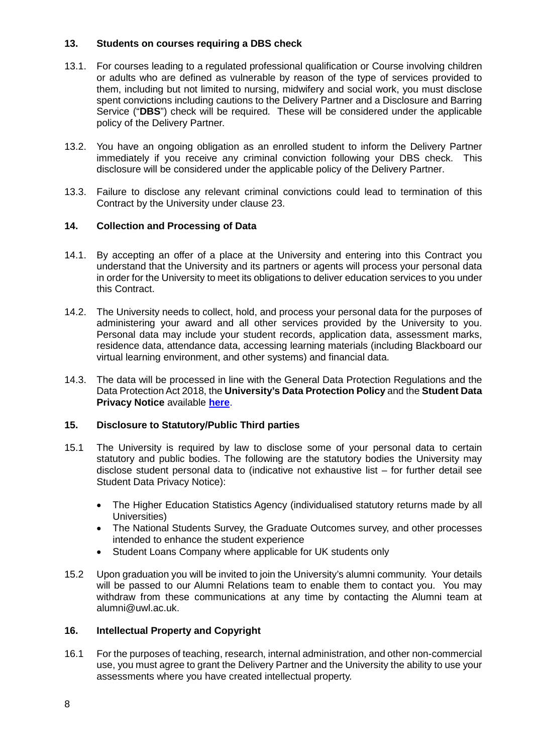# **13. Students on courses requiring a DBS check**

- 13.1. For courses leading to a regulated professional qualification or Course involving children or adults who are defined as vulnerable by reason of the type of services provided to them, including but not limited to nursing, midwifery and social work, you must disclose spent convictions including cautions to the Delivery Partner and a Disclosure and Barring Service ("**DBS**") check will be required. These will be considered under the applicable policy of the Delivery Partner.
- 13.2. You have an ongoing obligation as an enrolled student to inform the Delivery Partner immediately if you receive any criminal conviction following your DBS check. This disclosure will be considered under the applicable policy of the Delivery Partner.
- 13.3. Failure to disclose any relevant criminal convictions could lead to termination of this Contract by the University under clause 23.

# **14. Collection and Processing of Data**

- 14.1. By accepting an offer of a place at the University and entering into this Contract you understand that the University and its partners or agents will process your personal data in order for the University to meet its obligations to deliver education services to you under this Contract.
- 14.2. The University needs to collect, hold, and process your personal data for the purposes of administering your award and all other services provided by the University to you. Personal data may include your student records, application data, assessment marks, residence data, attendance data, accessing learning materials (including Blackboard our virtual learning environment, and other systems) and financial data.
- 14.3. The data will be processed in line with the General Data Protection Regulations and the Data Protection Act 2018, the **University's Data Protection Policy** and the **Student Data Privacy Notice** available **[here](https://www.uwl.ac.uk/about-us/policies-and-regulations/privacy-and-data-protection)**.

#### **15. Disclosure to Statutory/Public Third parties**

- 15.1 The University is required by law to disclose some of your personal data to certain statutory and public bodies. The following are the statutory bodies the University may disclose student personal data to (indicative not exhaustive list – for further detail see Student Data Privacy Notice):
	- The Higher Education Statistics Agency (individualised statutory returns made by all Universities)
	- The National Students Survey, the Graduate Outcomes survey, and other processes intended to enhance the student experience
	- Student Loans Company where applicable for UK students only
- 15.2 Upon graduation you will be invited to join the University's alumni community. Your details will be passed to our Alumni Relations team to enable them to contact you. You may withdraw from these communications at any time by contacting the Alumni team at [alumni@uwl.ac.uk.](mailto:alumni@uwl.ac.uk)

#### **16. Intellectual Property and Copyright**

16.1 For the purposes of teaching, research, internal administration, and other non-commercial use, you must agree to grant the Delivery Partner and the University the ability to use your assessments where you have created intellectual property.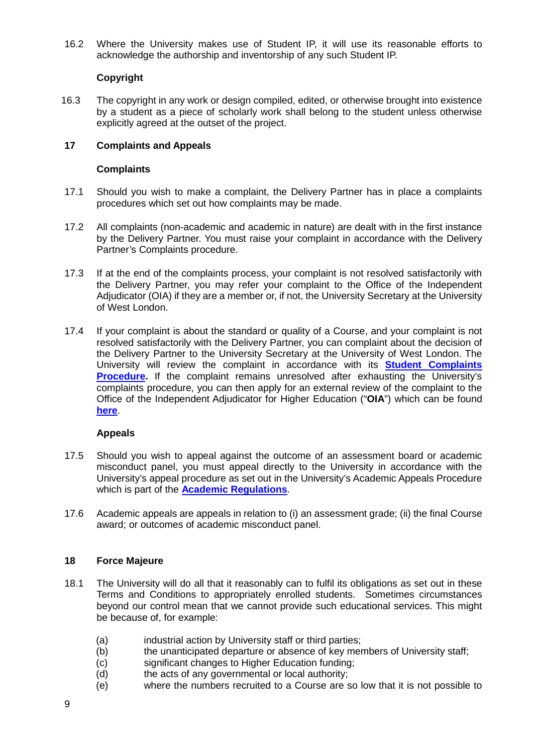16.2 Where the University makes use of Student IP, it will use its reasonable efforts to acknowledge the authorship and inventorship of any such Student IP.

# **Copyright**

16.3 The copyright in any work or design compiled, edited, or otherwise brought into existence by a student as a piece of scholarly work shall belong to the student unless otherwise explicitly agreed at the outset of the project.

# **17 Complaints and Appeals**

#### **Complaints**

- 17.1 Should you wish to make a complaint, the Delivery Partner has in place a complaints procedures which set out how complaints may be made.
- 17.2 All complaints (non-academic and academic in nature) are dealt with in the first instance by the Delivery Partner. You must raise your complaint in accordance with the Delivery Partner's Complaints procedure.
- 17.3 If at the end of the complaints process, your complaint is not resolved satisfactorily with the Delivery Partner, you may refer your complaint to the Office of the Independent Adjudicator (OIA) if they are a member or, if not, the University Secretary at the University of West London.
- 17.4 If your complaint is about the standard or quality of a Course, and your complaint is not resolved satisfactorily with the Delivery Partner, you can complaint about the decision of the Delivery Partner to the University Secretary at the University of West London. The University will review the complaint in accordance with its **[Student Complaints](https://www.uwl.ac.uk/sites/default/files/Departments/About-us/student_complaints_2018_final.pdf)  [Procedure.](https://www.uwl.ac.uk/sites/default/files/Departments/About-us/student_complaints_2018_final.pdf)** If the complaint remains unresolved after exhausting the University's complaints procedure, you can then apply for an external review of the complaint to the Office of the Independent Adjudicator for Higher Education ("**OIA**") which can be found **[here](http://www.oiahe.org.uk/)**.

#### **Appeals**

- 17.5 Should you wish to appeal against the outcome of an assessment board or academic misconduct panel, you must appeal directly to the University in accordance with the University's appeal procedure as set out in the University's Academic Appeals Procedure which is part of the **Academic Regulations**.
- 17.6 Academic appeals are appeals in relation to (i) an assessment grade; (ii) the final Course award; or outcomes of academic misconduct panel.

#### **18 Force Majeure**

- 18.1 The University will do all that it reasonably can to fulfil its obligations as set out in these Terms and Conditions to appropriately enrolled students. Sometimes circumstances beyond our control mean that we cannot provide such educational services. This might be because of, for example:
	-
	- (a) industrial action by University staff or third parties;<br>(b) the unanticipated departure or absence of key mer the unanticipated departure or absence of key members of University staff;
	- (c) significant changes to Higher Education funding;
	- (d) the acts of any governmental or local authority;
	- (e) where the numbers recruited to a Course are so low that it is not possible to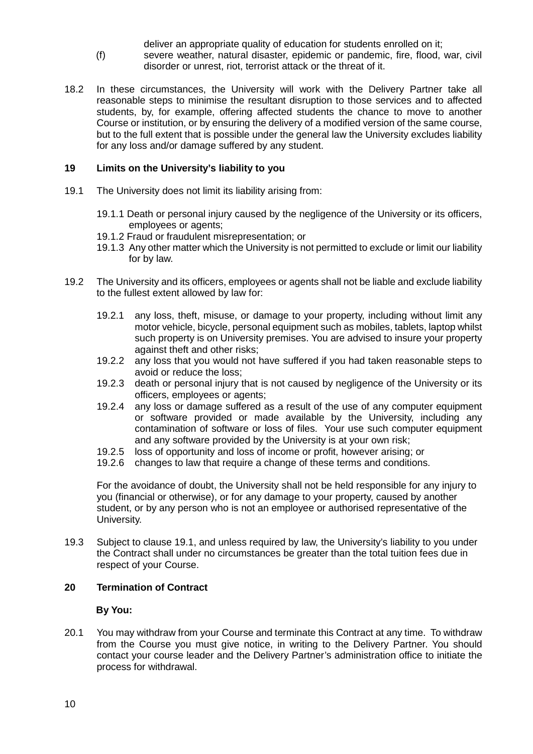deliver an appropriate quality of education for students enrolled on it;

- (f) severe weather, natural disaster, epidemic or pandemic, fire, flood, war, civil disorder or unrest, riot, terrorist attack or the threat of it.
- 18.2 In these circumstances, the University will work with the Delivery Partner take all reasonable steps to minimise the resultant disruption to those services and to affected students, by, for example, offering affected students the chance to move to another Course or institution, or by ensuring the delivery of a modified version of the same course, but to the full extent that is possible under the general law the University excludes liability for any loss and/or damage suffered by any student.

# **19 Limits on the University's liability to you**

- 19.1 The University does not limit its liability arising from:
	- 19.1.1 Death or personal injury caused by the negligence of the University or its officers, employees or agents;
	- 19.1.2 Fraud or fraudulent misrepresentation; or
	- 19.1.3 Any other matter which the University is not permitted to exclude or limit our liability for by law.
- 19.2 The University and its officers, employees or agents shall not be liable and exclude liability to the fullest extent allowed by law for:
	- 19.2.1 any loss, theft, misuse, or damage to your property, including without limit any motor vehicle, bicycle, personal equipment such as mobiles, tablets, laptop whilst such property is on University premises. You are advised to insure your property against theft and other risks;
	- 19.2.2 any loss that you would not have suffered if you had taken reasonable steps to avoid or reduce the loss;
	- 19.2.3 death or personal injury that is not caused by negligence of the University or its officers, employees or agents;
	- 19.2.4 any loss or damage suffered as a result of the use of any computer equipment or software provided or made available by the University, including any contamination of software or loss of files. Your use such computer equipment and any software provided by the University is at your own risk;
	- 19.2.5 loss of opportunity and loss of income or profit, however arising; or
	- 19.2.6 changes to law that require a change of these terms and conditions.

For the avoidance of doubt, the University shall not be held responsible for any injury to you (financial or otherwise), or for any damage to your property, caused by another student, or by any person who is not an employee or authorised representative of the University.

19.3 Subject to clause 19.1, and unless required by law, the University's liability to you under the Contract shall under no circumstances be greater than the total tuition fees due in respect of your Course.

# **20 Termination of Contract**

#### **By You:**

20.1 You may withdraw from your Course and terminate this Contract at any time. To withdraw from the Course you must give notice, in writing to the Delivery Partner. You should contact your course leader and the Delivery Partner's administration office to initiate the process for withdrawal.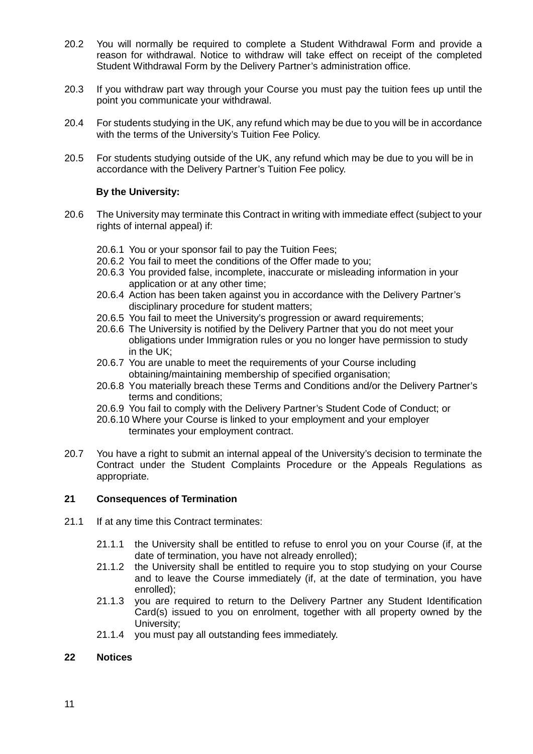- 20.2 You will normally be required to complete a Student Withdrawal Form and provide a reason for withdrawal. Notice to withdraw will take effect on receipt of the completed Student Withdrawal Form by the Delivery Partner's administration office.
- 20.3 If you withdraw part way through your Course you must pay the tuition fees up until the point you communicate your withdrawal.
- 20.4 For students studying in the UK, any refund which may be due to you will be in accordance with the terms of the University's Tuition Fee Policy.
- 20.5 For students studying outside of the UK, any refund which may be due to you will be in accordance with the Delivery Partner's Tuition Fee policy.

# **By the University:**

- 20.6 The University may terminate this Contract in writing with immediate effect (subject to your rights of internal appeal) if:
	- 20.6.1 You or your sponsor fail to pay the Tuition Fees;
	- 20.6.2 You fail to meet the conditions of the Offer made to you;
	- 20.6.3 You provided false, incomplete, inaccurate or misleading information in your application or at any other time;
	- 20.6.4 Action has been taken against you in accordance with the Delivery Partner's disciplinary procedure for student matters;
	- 20.6.5 You fail to meet the University's progression or award requirements;
	- 20.6.6 The University is notified by the Delivery Partner that you do not meet your obligations under Immigration rules or you no longer have permission to study in the UK;
	- 20.6.7 You are unable to meet the requirements of your Course including obtaining/maintaining membership of specified organisation;
	- 20.6.8 You materially breach these Terms and Conditions and/or the Delivery Partner's terms and conditions;
	- 20.6.9 You fail to comply with the Delivery Partner's Student Code of Conduct; or
	- 20.6.10 Where your Course is linked to your employment and your employer terminates your employment contract.
- 20.7 You have a right to submit an internal appeal of the University's decision to terminate the Contract under the Student Complaints Procedure or the Appeals Regulations as appropriate.

# **21 Consequences of Termination**

- 21.1 If at any time this Contract terminates:
	- 21.1.1 the University shall be entitled to refuse to enrol you on your Course (if, at the date of termination, you have not already enrolled);
	- 21.1.2 the University shall be entitled to require you to stop studying on your Course and to leave the Course immediately (if, at the date of termination, you have enrolled);
	- 21.1.3 you are required to return to the Delivery Partner any Student Identification Card(s) issued to you on enrolment, together with all property owned by the University;
	- 21.1.4 you must pay all outstanding fees immediately.

#### **22 Notices**